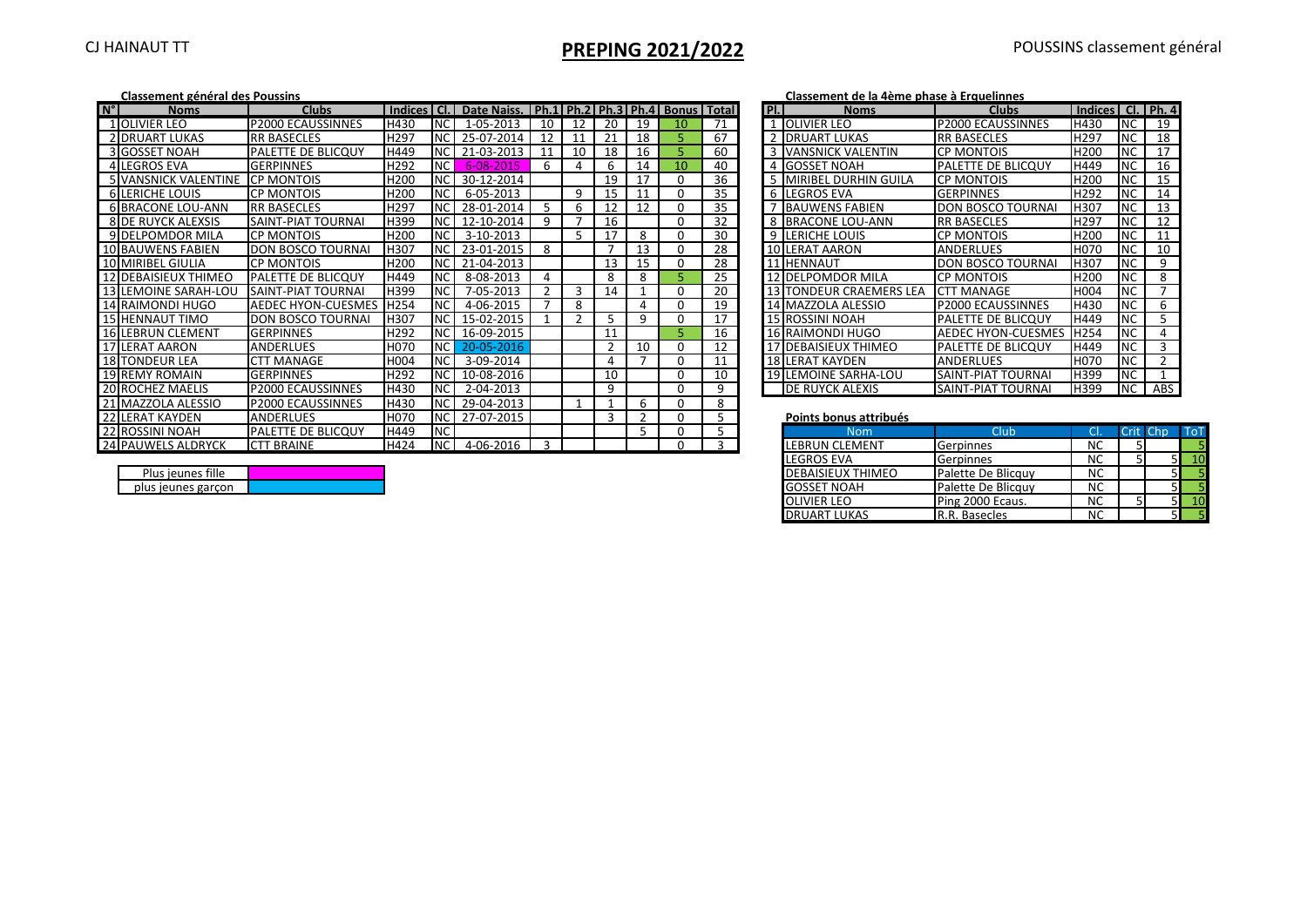# CJ HAINAUT TT **PREPING 2021/2022** POUSSINS classement général

|             | Classement général des Poussins |                           |                  |                |                                                         |                |     |     |               |          |              |               | Classement de la 4ème phase à Erquelinnes |                            |                       |            |                |     |
|-------------|---------------------------------|---------------------------|------------------|----------------|---------------------------------------------------------|----------------|-----|-----|---------------|----------|--------------|---------------|-------------------------------------------|----------------------------|-----------------------|------------|----------------|-----|
| $N^{\circ}$ | <b>Noms</b>                     | <b>Clubs</b>              | <b>Indices</b>   | LCL.           | Date Naiss.   Ph.1   Ph.2   Ph.3   Ph.4   Bonus   Total |                |     |     |               |          |              | PL            | <b>Noms</b>                               | <b>Clubs</b>               | Indices   Cl.   Ph. 4 |            |                |     |
|             | 1 OLIVIER LEO                   | <b>P2000 ECAUSSINNES</b>  | H430             | <b>NC</b>      | 1-05-2013                                               | 10             | 12  | -20 | 19            | 10       | 71           |               | 1 OLIVIER LEO                             | <b>P2000 ECAUSSINNES</b>   | H430                  | <b>INC</b> | 19             |     |
|             | 2 DRUART LUKAS                  | <b>IRR BASECLES</b>       | H297             | <b>NC</b>      | 25-07-2014                                              | 12             | 11  | 21  | 18            |          | 67           | $\mathcal{D}$ | <b>IDRUART LUKAS</b>                      | <b>RR BASECLES</b>         | H297                  | <b>NC</b>  | 18             |     |
|             | <b>3 GOSSET NOAH</b>            | PALETTE DE BLICQUY        | H449             | N <sub>C</sub> | 21-03-2013                                              | 11             | 10  | 18  | 16            |          | 60           | 3             | <b>VANSNICK VALENTIN</b>                  | <b>CP MONTOIS</b>          | H200                  | <b>NC</b>  | 17             |     |
|             | 4 LEGROS EVA                    | <b>GERPINNES</b>          | H292             | N <sub>C</sub> | 6-08-2015                                               | 6              |     | 6   | 14            | 10       | 40           |               | <b>IGOSSET NOAH</b>                       | <b>PALETTE DE BLICQUY</b>  | H449                  | <b>NC</b>  | 16             |     |
|             | <b>5 VANSNICK VALENTINE</b>     | <b>CP MONTOIS</b>         | H <sub>200</sub> | <b>NC</b>      | 30-12-2014                                              |                |     | 19  | 17            | 0        | 36           |               | <b>IMIRIBEL DURHIN GUILA</b>              | <b>CP MONTOIS</b>          | H <sub>200</sub>      | <b>NC</b>  | 15             |     |
|             | <b>6 LERICHE LOUIS</b>          | <b>CP MONTOIS</b>         | H200             | <b>NC</b>      | 6-05-2013                                               |                | 9   | 15  |               |          | 35           |               | 6 LEGROS EVA                              | <b>GERPINNES</b>           | H292                  | <b>NC</b>  | 14             |     |
|             | <b>6 BRACONE LOU-ANN</b>        | <b>RR BASECLES</b>        | H297             | <b>NC</b>      | 28-01-2014                                              | 5              | 6   | 12  | 12            | 0        | 35           |               | <b>BAUWENS FABIEN</b>                     | <b>DON BOSCO TOURNAL</b>   | <b>H307</b>           | <b>NC</b>  | 13             |     |
|             | <b>8 DE RUYCK ALEXSIS</b>       | SAINT-PIAT TOURNAI        | H399             | NC             | 12-10-2014                                              | 9              |     | 16  |               |          | 32           | 8             | <b>IBRACONE LOU-ANN</b>                   | <b>RR BASECLES</b>         | H297                  | <b>NC</b>  | 12             |     |
|             | 9 DELPOMDOR MILA                | <b>CP MONTOIS</b>         | H <sub>200</sub> | <b>INC</b>     | 3-10-2013                                               |                |     | 17  | 8             |          | 30           | 9             | <b>LERICHE LOUIS</b>                      | <b>CP MONTOIS</b>          | H200                  | <b>NC</b>  | 11             |     |
|             | 10 BAUWENS FABIEN               | <b>DON BOSCO TOURNAI</b>  | H307             | N <sub>C</sub> | 23-01-2015                                              | 8              |     |     | 13            | n        | 28           |               | 10 LERAT AARON                            | <b>ANDERLUES</b>           | H070                  | <b>NC</b>  | 10             |     |
|             | 10 MIRIBEL GIULIA               | <b>CP MONTOIS</b>         | H200             | <b>NC</b>      | 21-04-2013                                              |                |     | 13  | 15            |          | 28           |               | 11 HENNAUT                                | <b>DON BOSCO TOURNAL</b>   | <b>H307</b>           | NC         | 9              |     |
|             | 12 DEBAISIEUX THIMEC            | <b>PALETTE DE BLICQUY</b> | H449             | <b>NC</b>      | 8-08-2013                                               | 4              |     | 8   | 8             |          | 25           |               | 12 DELPOMDOR MILA                         | <b>CP MONTOIS</b>          | H200                  | <b>NC</b>  | 8              |     |
|             | 13 LEMOINE SARAH-LOU            | SAINT-PIAT TOURNA         | H399             | <b>NC</b>      | 7-05-2013                                               | $\overline{2}$ | 3   | 14  |               | n        | 20           |               | <b>TONDEUR CRAEMERS LEA</b>               | <b>CTT MANAGE</b>          | H004                  | <b>NC</b>  | $\overline{ }$ |     |
|             | 14 RAIMONDI HUGO                | AEDEC HYON-CUESMES        | H254             | <b>NC</b>      | 4-06-2015                                               | $\overline{7}$ | 8   |     |               |          | 19           |               | 14 MAZZOLA ALESSIO                        | <b>P2000 ECAUSSINNES</b>   | H430                  | <b>NC</b>  | 6              |     |
|             | <b>15 HENNAUT TIMO</b>          | <b>DON BOSCO TOURNAI</b>  | H307             | <b>NC</b>      | 15-02-2015                                              |                | - 2 |     | 9             |          | 17           |               | <b>15 ROSSINI NOAH</b>                    | <b>IPALETTE DE BLICQUY</b> | H449                  | <b>NC</b>  |                |     |
|             | <b>16 LEBRUN CLEMENT</b>        | <b>GERPINNES</b>          | H292             | <b>NC</b>      | 16-09-2015                                              |                |     | 11  |               |          | 16           |               | 16 RAIMONDI HUGO                          | <b>AEDEC HYON-CUESMES</b>  | <b>H254</b>           | <b>NC</b>  |                |     |
|             | <b>17 LERAT AARON</b>           | <b>ANDERLUES</b>          | H070             | N <sub>C</sub> | 20-05-2016                                              |                |     |     | 10            | n        | 12           |               | 17 DEBAISIEUX THIMEO                      | <b>PALETTE DE BLICQUY</b>  | H449                  | <b>NC</b>  | 3              |     |
|             | <b>18 TONDEUR LEA</b>           | <b>CTT MANAGE</b>         | <b>H004</b>      | <b>NC</b>      | 3-09-2014                                               |                |     |     |               |          | 11           |               | <b>18 LERAT KAYDEN</b>                    | <b>ANDERLUES</b>           | H070                  | <b>NC</b>  | C.             |     |
|             | <b>19 REMY ROMAIN</b>           | <b>GERPINNES</b>          | H292             | <b>NC</b>      | 10-08-2016                                              |                |     | 10  |               |          | 10           |               | <b>19 LEMOINE SARHA-LOU</b>               | SAINT-PIAT TOURNAI         | H399                  | <b>NC</b>  |                |     |
|             | <b>20 ROCHEZ MAELIS</b>         | <b>P2000 ECAUSSINNES</b>  | H430             | <b>NC</b>      | 2-04-2013                                               |                |     | q   |               | $\Omega$ | 9            |               | <b>DE RUYCK ALEXIS</b>                    | <b>SAINT-PIAT TOURNAI</b>  | H399                  | <b>NC</b>  | ABS            |     |
|             | 21 MAZZOLA ALESSIO              | P2000 ECAUSSINNES         | H430             | <b>NC</b>      | 29-04-2013                                              |                |     |     | 6             |          | 8            |               |                                           |                            |                       |            |                |     |
|             | 22 LERAT KAYDEN                 | <b>ANDERLUES</b>          | <b>HO70</b>      | <b>NC</b>      | 27-07-2015                                              |                |     |     | $\mathcal{D}$ | $\Omega$ |              |               | Points bonus attribués                    |                            |                       |            |                |     |
|             | 22 ROSSINI NOAH                 | <b>PALETTE DE BLICQUY</b> | H449             | <b>NC</b>      |                                                         |                |     |     |               |          |              |               | <b>Nom</b>                                | Club                       |                       | Crit Chp   |                | ToI |
|             | 24 PAUWELS ALDRYCK              | <b>CTT BRAINE</b>         | H424             | <b>NC</b>      | 4-06-2016                                               | $\mathbf{R}$   |     |     |               |          | $\mathbf{r}$ |               | LEBRUN CLEMENT                            | Gerpinnes                  | <b>NC</b>             |            |                |     |

|                 | Classement de la génie phase à Étydemines |                          |                       |           |                |
|-----------------|-------------------------------------------|--------------------------|-----------------------|-----------|----------------|
| PI.             | <b>Noms</b>                               | <b>Clubs</b>             | Indices   Cl.   Ph. 4 |           |                |
| 1               | <b>OLIVIER LEO</b>                        | <b>P2000 ECAUSSINNES</b> | H430                  | NC        | 19             |
| $\overline{2}$  | <b>DRUART LUKAS</b>                       | <b>RR BASECLES</b>       | H <sub>297</sub>      | <b>NC</b> | 18             |
| 3               | <b>VANSNICK VALENTIN</b>                  | <b>CP MONTOIS</b>        | H <sub>200</sub>      | <b>NC</b> | 17             |
| 4               | <b>GOSSET NOAH</b>                        | PALETTE DE BLICQUY       | H449                  | NC        | 16             |
| 5               | <b>MIRIBEL DURHIN GUILA</b>               | CP MONTOIS               | H <sub>200</sub>      | NC        | 15             |
| 6               | <b>LEGROS EVA</b>                         | <b>GERPINNES</b>         | H292                  | <b>NC</b> | 14             |
|                 | <b>BAUWENS FABIEN</b>                     | DON BOSCO TOURNAI        | H307                  | <b>NC</b> | 13             |
| 8               | <b>BRACONE LOU-ANN</b>                    | <b>RR BASECLES</b>       | H <sub>297</sub>      | NC        | 12             |
| 9               | <b>LERICHE LOUIS</b>                      | CP MONTOIS               | H <sub>200</sub>      | <b>NC</b> | 11             |
|                 | 10 LERAT AARON                            | <b>ANDERLUES</b>         | H <sub>0</sub> 70     | <b>NC</b> | 10             |
|                 | 11 HENNAUT                                | DON BOSCO TOURNAI        | H307                  | <b>NC</b> | 9              |
| 121             | <b>DELPOMDOR MILA</b>                     | <b>CP MONTOIS</b>        | H <sub>200</sub>      | <b>NC</b> | 8              |
|                 | 13 ITONDEUR CRAEMERS LEA                  | <b>CTT MANAGE</b>        | H004                  | <b>NC</b> | 7              |
|                 | 14 MAZZOLA ALESSIO                        | P2000 ECAUSSINNES        | H430                  | <b>NC</b> | 6              |
|                 | <b>15 ROSSINI NOAH</b>                    | PALETTE DE BLICQUY       | H449                  | <b>NC</b> | 5              |
|                 | 16 RAIMONDI HUGO                          | AEDEC HYON-CUESMES       | H254                  | <b>NC</b> | 4              |
| 17 <sup>1</sup> | <b>DEBAISIEUX THIMEO</b>                  | PALETTE DE BLICQUY       | H449                  | <b>NC</b> | 3              |
|                 | 18 LERAT KAYDEN                           | <b>ANDERLUES</b>         | H <sub>0</sub> 70     | <b>NC</b> | $\overline{2}$ |
|                 | <b>19 LEMOINE SARHA-LOU</b>               | SAINT-PIAT TOURNAI       | H399                  | <b>NC</b> | $\mathbf{1}$   |
|                 | DE RUYCK ALEXIS                           | SAINT-PIAT TOURNAI       | H399                  | <b>NC</b> | <b>ABS</b>     |

| RAT KAYDEN         | <b>JANDERLUES</b>         | <b>HO70</b> | <b>INC</b> | 27-07-2015 |  |  |  | Points bonus attribués   |                      |                       |          |            |
|--------------------|---------------------------|-------------|------------|------------|--|--|--|--------------------------|----------------------|-----------------------|----------|------------|
| <b>ISSINI NOAH</b> | <b>PALETTE DE BLICQUY</b> | <b>H449</b> | <b>INC</b> |            |  |  |  | Nom                      | Club                 |                       | Crit Chp | <b>ToT</b> |
| UWELS ALDRYCK      | <b>BRAINE</b>             | <b>H424</b> | INC.       | 4-06-2016  |  |  |  | <b>LEBRUN CLEMENT</b>    | <b>Gerpinnes</b>     | <b>NC</b>             |          |            |
|                    |                           |             |            |            |  |  |  | <b>LEGROS EVA</b>        | Gerpinnes            | <b>NC</b>             |          |            |
| Plus ieunes fille  |                           |             |            |            |  |  |  | <b>DEBAISIEUX THIMEO</b> | Palette De Blicquy   | $\overline{N}$<br>IVU |          |            |
| plus ieunes garcon |                           |             |            |            |  |  |  | <b>GOSSET NOAH</b>       | Palette De Blicquy   | $\mathbf{N}$<br>IVU   |          |            |
|                    |                           |             |            |            |  |  |  | <b>OLIVIER LEO</b>       | Ping 2000 Ecaus.     | <b>NC</b>             |          |            |
|                    |                           |             |            |            |  |  |  | <b>DRUART LUKAS</b>      | <b>R.R. Basecles</b> | $\sim$                |          |            |

| Plus ieunes fille  |  |
|--------------------|--|
| plus jeunes garcon |  |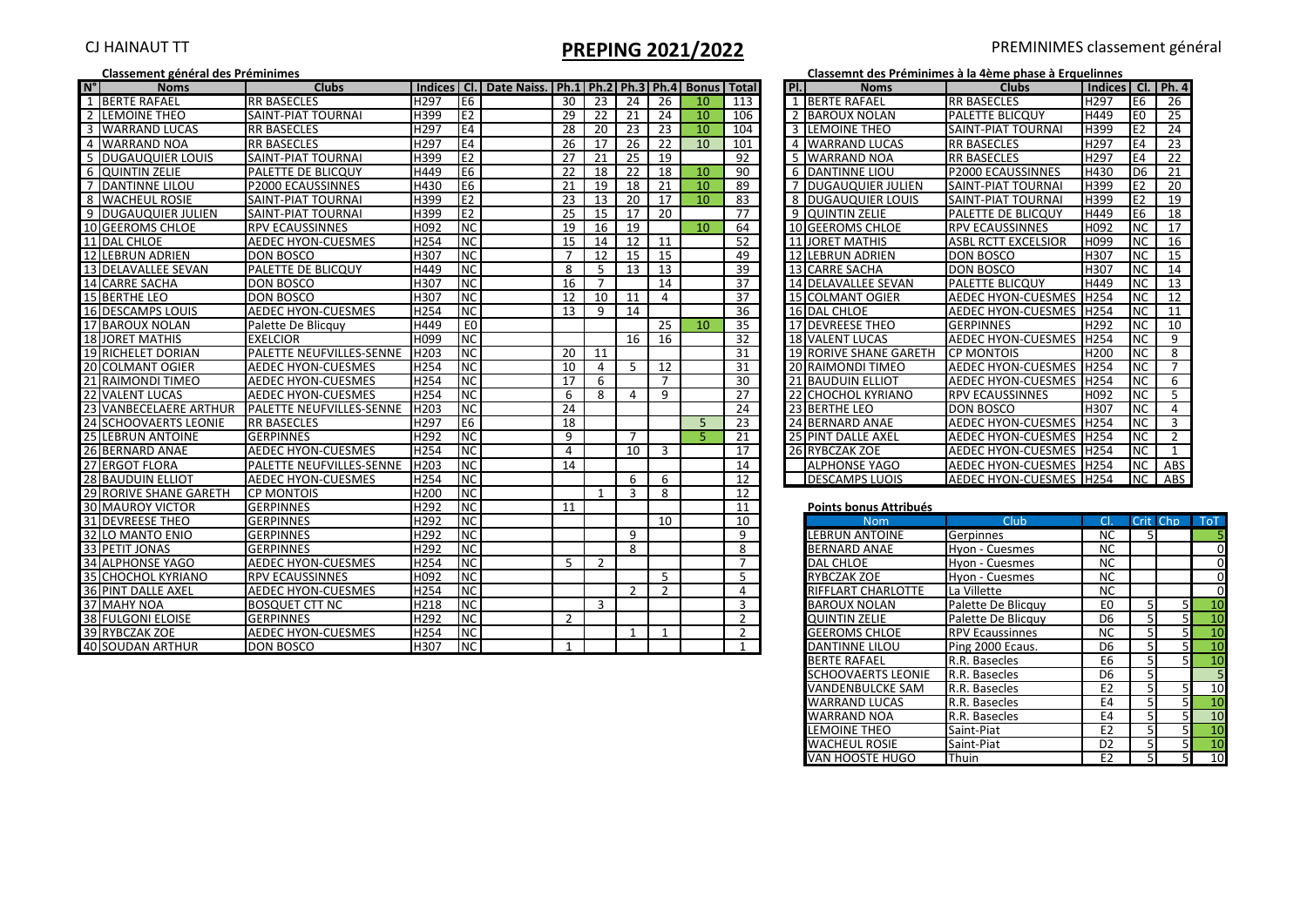# CJ HAINAUT TT<br> **PREPING 2021/2022** PREMINIMES classement général<br> **PREPING 2021/2022** Classement des Préminimes à la 4ème phase à Erquelinnes

### **Classement général des Préminimes**

| $N^{\circ}$ | <b>Noms</b>                | <b>Clubs</b>                    |                  |                          | Indices   Cl.   Date Naiss.   Ph.1   Ph.2   Ph.3   Ph.4   Bonus   Total |                 |                |                 |                |                 |                 | Pl.            | <b>Noms</b>               | <b>Clubs</b>               | Indices   Cl.   Ph. 4 |                          |                |                              |
|-------------|----------------------------|---------------------------------|------------------|--------------------------|-------------------------------------------------------------------------|-----------------|----------------|-----------------|----------------|-----------------|-----------------|----------------|---------------------------|----------------------------|-----------------------|--------------------------|----------------|------------------------------|
|             | 1 BERTE RAFAEL             | <b>RR BASECLES</b>              | H <sub>297</sub> | IE6                      |                                                                         | 30 <sup>7</sup> | 23             | $\overline{24}$ | 26             | 10 <sup>°</sup> | 113             |                | 1 BERTE RAFAEL            | <b>RR BASECLES</b>         | H <sub>297</sub>      | E6                       | 26             |                              |
|             | 2 LEMOINE THEO             | <b>SAINT-PIAT TOURNAI</b>       | H399             | E <sub>2</sub>           |                                                                         | 29              | 22             | 21              | 24             | 10              | 106             | $\overline{z}$ | <b>BAROUX NOLAN</b>       | PALETTE BLICQUY            | H449                  | E <sub>0</sub>           | 25             |                              |
|             | 3 WARRAND LUCAS            | <b>RR BASECLES</b>              | H297             | E4                       |                                                                         | 28              | 20             | 23              | 23             | 10              | 104             | $\overline{3}$ | LEMOINE THEO              | SAINT-PIAT TOURNAL         | H399                  | E2                       | 24             |                              |
|             | 4 WARRAND NOA              | <b>RR BASECLES</b>              | H297             | E4                       |                                                                         | 26              | 17             | 26              | 22             | 10              | 101             | 4              | <b>WARRAND LUCAS</b>      | <b>RR BASECLES</b>         | H297                  | E <sub>4</sub>           | 23             |                              |
|             | 5 DUGAUQUIER LOUIS         | <b>SAINT-PIAT TOURNAL</b>       | H399             | E <sub>2</sub>           |                                                                         | 27              | 21             | 25              | 19             |                 | 92              |                | 5 WARRAND NOA             | <b>RR BASECLES</b>         | H297                  | E4                       | 22             |                              |
|             | <b>6 QUINTIN ZELIE</b>     | PALETTE DE BLICQUY              | H449             | E <sub>6</sub>           |                                                                         | 22              | 18             | 22              | 18             | 10              | 90              |                | <b>6 DANTINNE LIOU</b>    | P2000 ECAUSSINNES          | H430                  | D <sub>6</sub>           | 21             |                              |
|             | 7 DANTINNE LILOU           | P2000 ECAUSSINNES               | H430             | E <sub>6</sub>           |                                                                         | 21              | 19             | 18              | 21             | 10              | 89              |                | 7 DUGAUQUIER JULIEN       | <b>SAINT-PIAT TOURNAI</b>  | H399                  | E2                       | 20             |                              |
|             | 8 WACHEUL ROSIE            | <b>SAINT-PIAT TOURNAL</b>       | H399             | E <sub>2</sub>           |                                                                         | 23              | 13             | 20              | 17             | 10              | 83              |                | 8 DUGAUQUIER LOUIS        | SAINT-PIAT TOURNAL         | <b>H399</b>           | E2                       | 19             |                              |
|             | 9 <b>DUGAUQUIER JULIEN</b> | <b>SAINT-PIAT TOURNAL</b>       | H399             | E2                       |                                                                         | 25              | 15             | 17              | 20             |                 | 77              |                | 9 QUINTIN ZELIE           | <b>PALETTE DE BLICQUY</b>  | H449                  | E <sub>6</sub>           | 18             |                              |
|             | 10 GEEROMS CHLOE           | <b>RPV ECAUSSINNES</b>          | H092             | NC                       |                                                                         | 19              | 16             | 19              |                | 10              | 64              |                | 10 GEEROMS CHLOE          | <b>RPV ECAUSSINNES</b>     | H092                  | ΝC                       | 17             |                              |
|             | 11 DAL CHLOE               | <b>AEDEC HYON-CUESMES</b>       | H254             | <b>I</b> NC              |                                                                         | 15              | 14             | 12              | 11             |                 | 52              |                | <b>JORET MATHIS</b>       | <b>ASBL RCTT EXCELSIOR</b> | <b>HO99</b>           | <b>NC</b>                | 16             |                              |
|             | 12 LEBRUN ADRIEN           | <b>DON BOSCO</b>                | H307             | <b>NC</b>                |                                                                         | $\overline{7}$  | 12             | 15              | 15             |                 | 49              |                | 12 LEBRUN ADRIEN          | <b>DON BOSCO</b>           | <b>H307</b>           | <b>NC</b>                | 15             |                              |
|             | 13 DELAVALLEE SEVAN        | PALETTE DE BLICQUY              | H449             | NC                       |                                                                         | 8               | 5              | 13              | 13             |                 | 39              |                | 13 CARRE SACHA            | <b>DON BOSCO</b>           | H307                  | $\overline{\mathsf{NC}}$ | 14             |                              |
|             | 14 CARRE SACHA             | <b>DON BOSCO</b>                | H307             | <b>NC</b>                |                                                                         | 16              | $\overline{7}$ |                 | 14             |                 | 37              |                | 14 DELAVALLEE SEVAN       | <b>PALETTE BLICQUY</b>     | H449                  | <b>NC</b>                | 13             |                              |
|             | 15 BERTHE LEO              | <b>DON BOSCO</b>                | H307             | NC                       |                                                                         | 12              | 10             | 11              | $\overline{4}$ |                 | 37              |                | <b>15 COLMANT OGIER</b>   | <b>AEDEC HYON-CUESMES</b>  | <b>H254</b>           | <b>NC</b>                | 12             |                              |
|             | <b>16 DESCAMPS LOUIS</b>   | <b>AEDEC HYON-CUESMES</b>       | H254             | NC                       |                                                                         | 13              | 9              | 14              |                |                 | 36              |                | 16 DAL CHLOE              | AEDEC HYON-CUESMES H254    |                       | <b>NC</b>                | 11             |                              |
|             | 17 BAROUX NOLAN            | Palette De Blicquy              | H449             | E <sub>0</sub>           |                                                                         |                 |                |                 | 25             | 10              | 35              |                | <b>17 DEVREESE THEO</b>   | <b>GERPINNES</b>           | H292                  | <b>NC</b>                | 10             |                              |
|             | <b>18 JORET MATHIS</b>     | <b>EXELCIOR</b>                 | H099             | <b>NC</b>                |                                                                         |                 |                | 16              | 16             |                 | 32              |                | <b>18 VALENT LUCAS</b>    | <b>AEDEC HYON-CUESMES</b>  | <b>H254</b>           | <b>NC</b>                | 9              |                              |
|             | 19 RICHELET DORIAN         | PALETTE NEUFVILLES-SENNE        | H <sub>203</sub> | <b>NC</b>                |                                                                         | 20              | 11             |                 |                |                 | 31              |                | 19 RORIVE SHANE GARETH    | <b>CP MONTOIS</b>          | H <sub>200</sub>      | $\overline{\mathsf{NC}}$ | 8              |                              |
|             | 20 COLMANT OGIER           | <b>AEDEC HYON-CUESMES</b>       | <b>H254</b>      | <b>INC</b>               |                                                                         | 10              | $\overline{4}$ | 5.              | 12             |                 | 31              |                | 20 RAIMONDI TIMEO         | AEDEC HYON-CUESMES H254    |                       | <b>NC</b>                |                |                              |
|             | 21 RAIMONDI TIMEO          | <b>AEDEC HYON-CUESMES</b>       | H254             | <b>NC</b>                |                                                                         | 17              | 6              |                 | $\overline{7}$ |                 | $\overline{30}$ |                | 21 BAUDUIN ELLIOT         | AEDEC HYON-CUESMES H254    |                       | <b>NC</b>                | 6              |                              |
|             | <b>22 VALENT LUCAS</b>     | <b>AEDEC HYON-CUESMES</b>       | <b>H254</b>      | <b>INC</b>               |                                                                         | 6               | 8              | 4               | 9              |                 | $\overline{27}$ |                | <b>22 CHOCHOL KYRIANO</b> | <b>RPV ECAUSSINNES</b>     | H092                  | ΝC                       | 5              |                              |
|             | 23 VANBECELAERE ARTHUR     | <b>PALETTE NEUFVILLES-SENNE</b> | <b>H203</b>      | $\overline{\mathsf{NC}}$ |                                                                         | 24              |                |                 |                |                 | 24              |                | 23 BERTHE LEO             | <b>DON BOSCO</b>           | H307                  | ΝC                       | 4              |                              |
|             | 24 SCHOOVAERTS LEONIE      | <b>RR BASECLES</b>              | <b>H297</b>      | E <sub>6</sub>           |                                                                         | 18              |                |                 |                | $\overline{5}$  | 23              |                | 24 BERNARD ANAE           | <b>AEDEC HYON-CUESMES</b>  | H <sub>254</sub>      | ΝC                       | $\overline{3}$ |                              |
|             | 25 LEBRUN ANTOINE          | <b>GERPINNES</b>                | H292             | <b>NC</b>                |                                                                         | 9               |                |                 |                |                 | 21              |                | 25 PINT DALLE AXEL        | AEDEC HYON-CUESMES H254    |                       | <b>NC</b>                |                |                              |
|             | 26 BERNARD ANAE            | <b>AEDEC HYON-CUESMES</b>       | H254             | <b>NC</b>                |                                                                         | 4               |                | 10              | 3              |                 | 17              |                | 26 RYBCZAK ZOE            | AEDEC HYON-CUESMES H254    |                       | <b>NC</b>                |                |                              |
|             | 27 ERGOT FLORA             | PALETTE NEUFVILLES-SENNE        | <b>H203</b>      | <b>INC</b>               |                                                                         | 14              |                |                 |                |                 | 14              |                | <b>ALPHONSE YAGO</b>      | AEDEC HYON-CUESMES H254    |                       | Inc.                     | ABS            |                              |
|             | 28 BAUDUIN ELLIOT          | <b>AEDEC HYON-CUESMES</b>       | H254             | <b>NC</b>                |                                                                         |                 |                | 6               | 6              |                 | 12              |                | <b>DESCAMPS LUOIS</b>     | AEDEC HYON-CUESMES H254    |                       | NC                       | ABS            |                              |
|             | 29 RORIVE SHANE GARETH     | <b>CP MONTOIS</b>               | H200             | N <sub>C</sub>           |                                                                         |                 | $\mathbf{1}$   | $\overline{3}$  | 8              |                 | 12              |                |                           |                            |                       |                          |                |                              |
|             | <b>30 MAUROY VICTOR</b>    | <b>GERPINNES</b>                | H292             | <b>NC</b>                |                                                                         | 11              |                |                 |                |                 | 11              |                | Points bonus Attribués    |                            |                       |                          |                |                              |
|             | <b>31 DEVREESE THEO</b>    | <b>GERPINNES</b>                | H292             | NC                       |                                                                         |                 |                |                 | 10             |                 | 10              |                | <b>Nom</b>                | Club                       | <sub>C</sub>          | Crit Chp                 |                | $\overline{\phantom{a}}$ ToT |
|             | 32 LO MANTO ENIO           | <b>GERPINNES</b>                | H292             | <b>NC</b>                |                                                                         |                 |                | 9               |                |                 | 9               |                | <b>LEBRUN ANTOINE</b>     | Gerpinnes                  | NC                    | 51                       |                |                              |
|             | 33 PETIT JONAS             | <b>GERPINNES</b>                | H292             | NC                       |                                                                         |                 |                | 8               |                |                 | 8               |                | <b>BERNARD ANAE</b>       | Hyon - Cuesmes             | <b>NC</b>             |                          |                |                              |
|             | <b>34 ALPHONSE YAGO</b>    | <b>AEDEC HYON-CUESMES</b>       | H254             | <b>NC</b>                |                                                                         | 5               | $\mathcal{P}$  |                 |                |                 | $\overline{7}$  |                | <b>DAL CHLOE</b>          | Hyon - Cuesmes             | <b>NC</b>             |                          |                |                              |
|             | 35 CHOCHOL KYRIANO         | <b>RPV ECAUSSINNES</b>          | H092             | NC                       |                                                                         |                 |                |                 | 5              |                 | 5               |                | <b>RYBCZAK ZOE</b>        | Hyon - Cuesmes             | <b>NC</b>             |                          |                |                              |
|             | 36 PINT DALLE AXEL         | <b>AEDEC HYON-CUESMES</b>       | H <sub>254</sub> | NC                       |                                                                         |                 |                | 2               | $\overline{2}$ |                 | 4               |                | RIFFLART CHARLOTTE        | La Villette                | <b>NC</b>             |                          |                |                              |
|             | 37 MAHY NOA                | <b>BOSQUET CTT NC</b>           | H218             | <b>NC</b>                |                                                                         |                 | $\overline{3}$ |                 |                |                 | 3               |                | <b>BAROUX NOLAN</b>       | Palette De Blicquy         | E <sub>0</sub>        | 5                        |                | 10                           |
|             | 38 FULGONI ELOISE          | <b>GERPINNES</b>                | H292             | <b>INC</b>               |                                                                         | $\overline{2}$  |                |                 |                |                 | 2               |                | <b>QUINTIN ZELIE</b>      | Palette De Blicquy         | D <sub>6</sub>        | $\overline{5}$           |                | 10                           |
|             | 39 RYBCZAK ZOE             | AEDEC HYON-CUESMES              | H254             | NC                       |                                                                         |                 |                |                 | 1              |                 | $\overline{2}$  |                | <b>GEEROMS CHLOE</b>      | <b>RPV Ecaussinnes</b>     | <b>NC</b>             |                          |                | 10                           |
|             | 40 SOUDAN ARTHUR           | <b>DON BOSCO</b>                | H307             | NC                       |                                                                         | $\mathbf{1}$    |                |                 |                |                 |                 |                | <b>DANTINNE LILOU</b>     | Ping 2000 Ecaus.           | D <sub>6</sub>        | 5 <sub>l</sub>           |                | $\overline{10}$              |

|  | assemnt des Préminimes à la 4ème phase à Erquelinnes |  |  |  |
|--|------------------------------------------------------|--|--|--|
|  |                                                      |  |  |  |

| PI.            | <b>Noms</b>                   | <b>Clubs</b>                    | Indices   Cl.   Ph. 4 |                |     |
|----------------|-------------------------------|---------------------------------|-----------------------|----------------|-----|
| 1              | <b>BERTE RAFAEL</b>           | <b>RR BASECLES</b>              | H <sub>297</sub>      | E6             | 26  |
| $\overline{2}$ | <b>BAROUX NOLAN</b>           | PALETTE BLICQUY                 | H449                  | E <sub>0</sub> | 25  |
| 3              | <b>LEMOINE THEO</b>           | SAINT-PIAT TOURNAI              | H399                  | E <sub>2</sub> | 24  |
| 4              | <b>WARRAND LUCAS</b>          | <b>RR BASECLES</b>              | H <sub>297</sub>      | E4             | 23  |
| 5              | <b>WARRAND NOA</b>            | <b>RR BASECLES</b>              | H297                  | E <sub>4</sub> | 22  |
| 6              | <b>DANTINNE LIOU</b>          | <b>P2000 ECAUSSINNES</b>        | H430                  | D <sub>6</sub> | 21  |
| 7              | <b>DUGAUQUIER JULIEN</b>      | SAINT-PIAT TOURNAI              | H399                  | E <sub>2</sub> | 20  |
| 8              | <b>DUGAUQUIER LOUIS</b>       | SAINT-PIAT TOURNAI              | H399                  | E <sub>2</sub> | 19  |
| 9              | <b>QUINTIN ZELIE</b>          | PALETTE DE BLICQUY              | H449                  | E <sub>6</sub> | 18  |
|                | 10 GEEROMS CHLOE              | <b>RPV ECAUSSINNES</b>          | H <sub>092</sub>      | NC             | 17  |
|                | 11 JORET MATHIS               | <b>ASBL RCTT EXCELSIOR</b>      | H <sub>099</sub>      | <b>NC</b>      | 16  |
|                | 12 LEBRUN ADRIEN              | <b>DON BOSCO</b>                | H307                  | <b>NC</b>      | 15  |
|                | <b>13 CARRE SACHA</b>         | DON BOSCO                       | H307                  | <b>NC</b>      | 14  |
|                | <b>14 DELAVALLEE SEVAN</b>    | PALETTE BLICQUY                 | H449                  | <b>NC</b>      | 13  |
|                | 15 COLMANT OGIER              | AEDEC HYON-CUESMES              | H <sub>254</sub>      | NC             | 12  |
|                | <b>16 DAL CHLOE</b>           | <b>AEDEC HYON-CUESMES</b>       | H <sub>254</sub>      | <b>NC</b>      | 11  |
|                | 17 DEVREESE THEO              | <b>GERPINNES</b>                | H <sub>292</sub>      | <b>NC</b>      | 10  |
|                | 18 VALENT LUCAS               | AEDEC HYON-CUESMES              | H <sub>254</sub>      | <b>NC</b>      | 9   |
|                | <b>19 RORIVE SHANE GARETH</b> | <b>CP MONTOIS</b>               | H <sub>200</sub>      | <b>NC</b>      | 8   |
| 20             | <b>RAIMONDI TIMEO</b>         | <b>AEDEC HYON-CUESMES</b>       | H <sub>254</sub>      | <b>NC</b>      | 7   |
| 21             | <b>BAUDUIN ELLIOT</b>         | <b>AEDEC HYON-CUESMES</b>       | H <sub>254</sub>      | <b>NC</b>      | 6   |
|                | 22 CHOCHOL KYRIANO            | <b>RPV ECAUSSINNES</b>          | H <sub>092</sub>      | NC             | 5   |
|                | 23 BERTHE LEO                 | <b>DON BOSCO</b>                | H307                  | <b>NC</b>      | 4   |
|                | 24 BERNARD ANAE               | <b>AEDEC HYON-CUESMES IH254</b> |                       | <b>NC</b>      | 3   |
| 25             | <b>PINT DALLE AXEL</b>        | <b>AEDEC HYON-CUESMES</b>       | H <sub>254</sub>      | <b>NC</b>      | 2   |
|                | 26 RYBCZAK ZOE                | AEDEC HYON-CUESMES              | <b>H254</b>           | <b>NC</b>      | 1   |
|                | ALPHONSE YAGO                 | <b>AEDEC HYON-CUESMES</b>       | H <sub>254</sub>      | NC             | ABS |
|                | <b>DESCAMPS LUOIS</b>         | <b>AEDEC HYON-CUESMES</b>       | H <sub>254</sub>      | <b>NC</b>      | ABS |

### **Points bonus Attribués**

| <b>Nom</b>                | <b>Club</b>            | ΩĪ             | Crit Chp |                | ToT |
|---------------------------|------------------------|----------------|----------|----------------|-----|
| <b>LEBRUN ANTOINE</b>     | Gerpinnes              | <b>NC</b>      | 5        |                |     |
| <b>BERNARD ANAE</b>       | Hyon - Cuesmes         | <b>NC</b>      |          |                | 0   |
| <b>DAL CHLOE</b>          | Hyon - Cuesmes         | <b>NC</b>      |          |                | 0   |
| RYBCZAK ZOE               | Hyon - Cuesmes         | <b>NC</b>      |          |                | 0   |
| RIFFLART CHARLOTTE        | La Villette            | <b>NC</b>      |          |                | 0   |
| <b>BAROUX NOLAN</b>       | Palette De Blicquy     | E <sub>0</sub> | 5        | 5              | 10  |
| <b>QUINTIN ZELIE</b>      | Palette De Blicquy     | D <sub>6</sub> | 5        | 5              | 10  |
| <b>GEEROMS CHLOE</b>      | <b>RPV Ecaussinnes</b> | <b>NC</b>      | 5        | 5 <sup>1</sup> | 10  |
| <b>DANTINNE LILOU</b>     | Ping 2000 Ecaus.       | D <sub>6</sub> | 5        | $\overline{5}$ | 10  |
| <b>BERTE RAFAEL</b>       | R.R. Basecles          | E <sub>6</sub> | 5        | 5              | 10  |
| <b>SCHOOVAERTS LEONIE</b> | R.R. Basecles          | D <sub>6</sub> | 5        |                | 5   |
| <b>VANDENBULCKE SAM</b>   | R.R. Basecles          | E <sub>2</sub> | 5        | 5              | 10  |
| <b>WARRAND LUCAS</b>      | R.R. Basecles          | E <sub>4</sub> | 5        | 5              | 10  |
| <b>WARRAND NOA</b>        | R.R. Basecles          | E <sub>4</sub> | 5        | 5 <sup>1</sup> | 10  |
| <b>LEMOINE THEO</b>       | Saint-Piat             | E <sub>2</sub> | 5        | $\overline{5}$ | 10  |
| <b>WACHEUL ROSIE</b>      | Saint-Piat             | D <sub>2</sub> | 5        | 5 <sup>1</sup> | 10  |
| VAN HOOSTE HUGO           | Thuin                  | E <sub>2</sub> | 5        | 5              | 10  |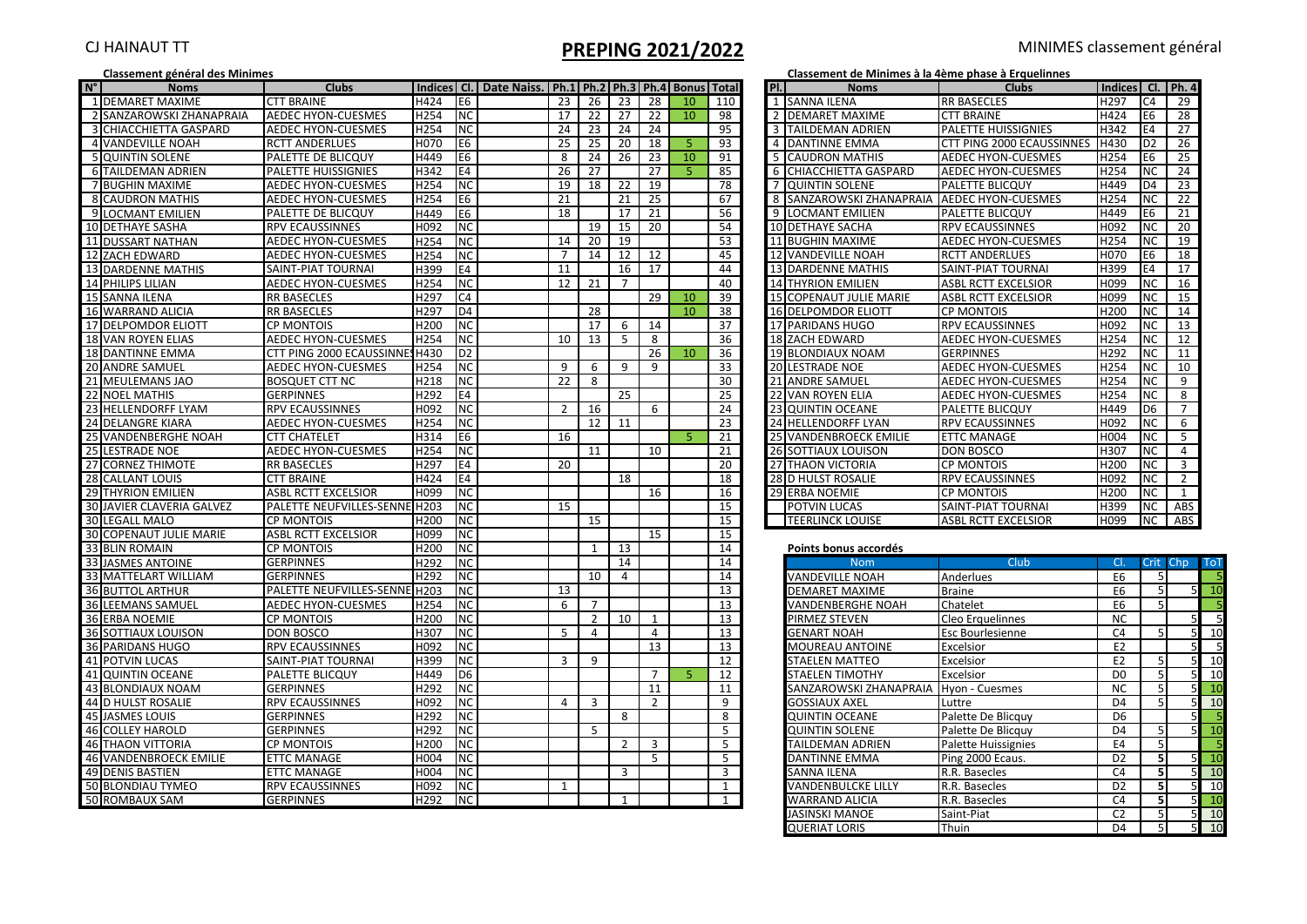# CJ HAINAUT TT **PREPING 2021/2022** MINIMES classement général

|                | Classement général des Minimes |                                |                  |                                                                         |                |                |                |                |    |                 |     |                | Classement de Minimes à la 4ème phase à Erquelinnes |                            |                   |                |                |            |
|----------------|--------------------------------|--------------------------------|------------------|-------------------------------------------------------------------------|----------------|----------------|----------------|----------------|----|-----------------|-----|----------------|-----------------------------------------------------|----------------------------|-------------------|----------------|----------------|------------|
| $N^{\circ}$    | <b>Noms</b>                    | <b>Clubs</b>                   |                  | Indices   Cl.   Date Naiss.   Ph.1   Ph.2   Ph.3   Ph.4   Bonus   Total |                |                |                |                |    |                 | PI. |                | <b>Noms</b>                                         | <b>Clubs</b>               | Indices Cl. Ph. 4 |                |                |            |
|                | 1 DEMARET MAXIME               | <b>CTT BRAINE</b>              | H424             | E6                                                                      | 23             | 26             | 23             | 28             | 10 | 110             |     |                | 1 SANNA ILENA                                       | <b>RR BASECLES</b>         | H <sub>297</sub>  | C4             | 29             |            |
|                | 2 SANZAROWSKI ZHANAPRAJA       | <b>AEDEC HYON-CUESMES</b>      | H254             | <b>NC</b>                                                               | 17             | 22             | 27             | 22             | 10 | 98              |     | $\overline{2}$ | <b>DEMARET MAXIME</b>                               | <b>CTT BRAINE</b>          | H424              | E6             | 28             |            |
| $\overline{3}$ | CHIACCHIETTA GASPARD           | <b>AEDEC HYON-CUESMES</b>      | H254             | NC                                                                      | 24             | 23             | 24             | 24             |    | 95              |     |                | <b>TAILDEMAN ADRIEN</b>                             | PALETTE HUISSIGNIES        | H342              | E4             | 27             |            |
|                | <b>4 VANDEVILLE NOAH</b>       | <b>RCTT ANDERLUES</b>          | H070             | E6                                                                      | 25             | 25             | 20             | 18             |    | 93              |     |                | 4 DANTINNE EMMA                                     | CTT PING 2000 ECAUSSINNES  | H430              | D <sub>2</sub> | 26             |            |
|                | <b>5 QUINTIN SOLENE</b>        | PALETTE DE BLICQUY             | H449             | E6                                                                      | -8             | 24             | 26             | 23             | 10 | 91              |     |                | <b>CAUDRON MATHIS</b>                               | <b>AEDEC HYON-CUESMES</b>  | H254              | E6             | 25             |            |
|                | 6 TAILDEMAN ADRIEN             | PALETTE HUISSIGNIES            | H342             | E4                                                                      | 26             | 27             |                | 27             | 5. | 85              |     |                | 6 CHIACCHIETTA GASPARD                              | <b>AEDEC HYON-CUESMES</b>  | H254              | <b>NC</b>      | 24             |            |
|                | 7 BUGHIN MAXIME                | <b>AEDEC HYON-CUESMES</b>      | H254             | N <sub>C</sub>                                                          | 19             | 18             | 22             | 19             |    | 78              |     |                | <b>7 QUINTIN SOLENE</b>                             | PALETTE BLICQUY            | H449              | D <sub>4</sub> | 23             |            |
|                | 8 CAUDRON MATHIS               | AEDEC HYON-CUESMES             | H254             | Е6                                                                      | 21             |                | 21             | 25             |    | 67              |     | 8              | SANZAROWSKI ZHANAPRAIA                              | <b>AEDEC HYON-CUESMES</b>  | H254              | <b>NC</b>      | 22             |            |
|                | <b>9ILOCMANT EMILIEN</b>       | PALETTE DE BLICQUY             | H449             | Е6                                                                      | 18             |                | 17             | 21             |    | 56              |     |                | 9 LOCMANT EMILIEN                                   | <b>PALETTE BLICQUY</b>     | H449              | E6             | 21             |            |
|                | 10 DETHAYE SASHA               | <b>RPV ECAUSSINNES</b>         | H <sub>092</sub> | NC.                                                                     |                | 19             | 15             | 20             |    | 54              |     |                | <b>10 DETHAYE SACHA</b>                             | <b>RPV ECAUSSINNES</b>     | H092              | <b>NC</b>      | 20             |            |
|                | 11 DUSSART NATHAN              | <b>AEDEC HYON-CUESMES</b>      | H254             | NC                                                                      | 14             | 20             | 19             |                |    | 53              |     |                | 11 BUGHIN MAXIME                                    | <b>AEDEC HYON-CUESMES</b>  | H254              | <b>NC</b>      | 19             |            |
|                | 12 ZACH EDWARD                 | <b>AEDEC HYON-CUESMES</b>      | H <sub>254</sub> | NC                                                                      | $\overline{7}$ | 14             | 12             | 12             |    | 45              |     |                | 12 VANDEVILLE NOAH                                  | <b>RCTT ANDERLUES</b>      | H070              | E <sub>6</sub> | 18             |            |
|                | 13 DARDENNE MATHIS             | SAINT-PIAT TOURNAI             | H399             | E4                                                                      | 11             |                | 16             | 17             |    | 44              |     |                | <b>13 DARDENNE MATHIS</b>                           | SAINT-PIAT TOURNAI         | H399              | E4             | 17             |            |
|                | 14 PHILIPS LILIAN              | <b>AEDEC HYON-CUESMES</b>      | H254             | NC                                                                      | 12             | 21             | $\overline{7}$ |                |    | 40              |     |                | <b>14 THYRION EMILIEN</b>                           | <b>ASBL RCTT EXCELSIOR</b> | H099              | <b>NC</b>      | 16             |            |
|                | 15 SANNA ILENA                 | <b>RR BASECLES</b>             | H297             | C4                                                                      |                |                |                | 29             | 10 | 39              |     |                | 15 COPENAUT JULIE MARIE                             | <b>ASBL RCTT EXCELSIOR</b> | H099              | <b>NC</b>      | 15             |            |
|                | 16 WARRAND ALICIA              | <b>RR BASECLES</b>             | H297             | D <sub>4</sub>                                                          |                | 28             |                |                | 10 | 38              |     |                | <b>16 DELPOMDOR ELIOTT</b>                          | <b>CP MONTOIS</b>          | H200              | <b>NC</b>      | 14             |            |
|                | 17 DELPOMDOR ELIOTT            | <b>CP MONTOIS</b>              | H200             | <b>NC</b>                                                               |                | 17             | 6              | 14             |    | 37              |     |                | 17 PARIDANS HUGO                                    | <b>RPV ECAUSSINNES</b>     | H092              | <b>NC</b>      | 13             |            |
|                | 18 VAN ROYEN ELIAS             | AEDEC HYON-CUESMES             | H <sub>254</sub> | NC.                                                                     | 10             | 13             | -5             | 8              |    | 36              |     |                | <b>18 ZACH EDWARD</b>                               | <b>AEDEC HYON-CUESMES</b>  | H <sub>254</sub>  | ΝC             | 12             |            |
|                | 18 DANTINNE EMMA               | CTT PING 2000 ECAUSSINNES H430 |                  | D <sub>2</sub>                                                          |                |                |                | 26             | 10 | 36              |     |                | 19 BLONDIAUX NOAM                                   | <b>GERPINNES</b>           | H292              | <b>NC</b>      | 11             |            |
|                | 20 ANDRE SAMUEL                | <b>AEDEC HYON-CUESMES</b>      | H254             | NC                                                                      | 9              | 6              | 9              | 9              |    | 33              |     |                | <b>20 LESTRADE NOE</b>                              | <b>AEDEC HYON-CUESMES</b>  | H254              | <b>NC</b>      | 10             |            |
|                | 21 MEULEMANS JAO               | <b>BOSQUET CTT NC</b>          | H218             | ΝC                                                                      | 22             | 8              |                |                |    | 30              |     |                | 21 ANDRE SAMUEL                                     | <b>AEDEC HYON-CUESMES</b>  | H254              | NC.            | 9              |            |
|                | 22 NOEL MATHIS                 | <b>GERPINNES</b>               | H <sub>292</sub> | E4                                                                      |                |                | 25             |                |    | 25              |     |                | <b>22 VAN ROYEN ELIA</b>                            | <b>AEDEC HYON-CUESMES</b>  | H254              | <b>NC</b>      | 8              |            |
|                | 23 HELLENDORFF LYAM            | <b>RPV ECAUSSINNES</b>         | H092             | NC                                                                      | 2              | -16            |                | 6              |    | 24              |     |                | 23 QUINTIN OCEANE                                   | PALETTE BLICQUY            | H449              | D6             | 7              |            |
|                | 24 DELANGRE KIARA              | <b>AEDEC HYON-CUESMES</b>      | H254             | <b>NC</b>                                                               |                | 12             | 11             |                |    | 23              |     |                | 24 HELLENDORFF LYAN                                 | <b>RPV ECAUSSINNES</b>     | H092              | <b>NC</b>      | 6              |            |
|                | 25 VANDENBERGHE NOAH           | <b>CTT CHATELET</b>            | H314             | E <sub>6</sub>                                                          | 16             |                |                |                | 5  | 21              |     |                | 25 VANDENBROECK EMILIE                              | <b>ETTC MANAGE</b>         | H004              | NC.            | -5             |            |
|                | 25 LESTRADE NOE                | <b>AEDEC HYON-CUESMES</b>      | H254             | ΝC                                                                      |                | 11             |                | 10             |    | 21              |     |                | <b>26 SOTTIAUX LOUISON</b>                          | <b>DON BOSCO</b>           | H307              | <b>NC</b>      | $\overline{4}$ |            |
|                | 27 CORNEZ THIMOTE              | <b>RR BASECLES</b>             | H297             | Ε4                                                                      | 20             |                |                |                |    | 20              |     |                | 27 THAON VICTORIA                                   | <b>CP MONTOIS</b>          | H200              | NC.            | $\overline{3}$ |            |
|                | 28 CALLANT LOUIS               | <b>CTT BRAINE</b>              | H424             | E4                                                                      |                |                | 18             |                |    | 18              |     |                | 28 D HULST ROSALIE                                  | <b>RPV ECAUSSINNES</b>     | H092              | <b>NC</b>      | $\overline{2}$ |            |
|                | 29 THYRION EMILIEN             | ASBL RCTT EXCELSIOR            | H099             | <b>NC</b>                                                               |                |                |                | 16             |    | 16              |     |                | 29 ERBA NOEMIE                                      | <b>CP MONTOIS</b>          | H200              | <b>NC</b>      | 1              |            |
|                | 30 JAVIER CLAVERIA GALVEZ      | PALETTE NEUFVILLES-SENNE H203  |                  | NC                                                                      | 15             |                |                |                |    | 15              |     |                | <b>POTVIN LUCAS</b>                                 | SAINT-PIAT TOURNAI         | H399              | NC.            | ABS            |            |
|                | <b>30 LEGALL MALO</b>          | <b>CP MONTOIS</b>              | H200             | <b>NC</b>                                                               |                | 15             |                |                |    | 15              |     |                | <b>TEERLINCK LOUISE</b>                             | <b>ASBL RCTT EXCELSIOR</b> | H099              | <b>NC</b>      | ABS            |            |
|                | <b>30 COPENAUT JULIE MARIE</b> | <b>ASBL RCTT EXCELSIOR</b>     | H099             | ΝC                                                                      |                |                |                | 15             |    | 15              |     |                |                                                     |                            |                   |                |                |            |
|                | 33 BLIN ROMAIN                 | <b>CP MONTOIS</b>              | H200             | NC                                                                      |                | $\mathbf{1}$   | 13             |                |    | 14              |     |                | Points bonus accordés                               |                            |                   |                |                |            |
|                | 33 JASMES ANTOINE              | <b>GERPINNES</b>               | H292             | <b>NC</b>                                                               |                |                | 14             |                |    | 14              |     |                | <b>Nom</b>                                          | Club                       | CI.               |                | Crit Chp       | <b>ToT</b> |
|                | 33 MATTELART WILLIAM           | <b>GERPINNES</b>               | H292             | ΝC                                                                      |                | 10             | 4              |                |    | 14              |     |                | <b>VANDEVILLE NOAH</b>                              | Anderlues                  | E <sub>6</sub>    |                |                | - 5        |
|                | <b>36 BUTTOL ARTHUR</b>        | PALETTE NEUFVILLES-SENNE H203  |                  | <b>NC</b>                                                               | 13             |                |                |                |    | 13              |     |                | <b>DEMARET MAXIME</b>                               | <b>Braine</b>              | E <sub>6</sub>    |                |                | 10         |
|                | <b>36 LEEMANS SAMUEL</b>       | <b>AEDEC HYON-CUESMES</b>      | H254             | <b>NC</b>                                                               | 6              | 7              |                |                |    | 13              |     |                | VANDENBERGHE NOAH                                   | Chatelet                   | E <sub>6</sub>    |                |                |            |
|                | 36 ERBA NOEMIE                 | <b>CP MONTOIS</b>              | H200             | ΝC                                                                      |                | $\overline{2}$ | 10             | 1              |    | 13              |     |                | PIRMEZ STEVEN                                       | Cleo Erquelinnes           | <b>NC</b>         |                |                | 5          |
|                | 36 SOTTIAUX LOUISON            | <b>DON BOSCO</b>               | H307             | NC                                                                      | 5              | $\overline{4}$ |                | 4              |    | $\overline{13}$ |     |                | <b>GENART NOAH</b>                                  | Esc Bourlesienne           | C <sub>4</sub>    |                |                | 10         |
|                | 36 PARIDANS HUGO               | <b>RPV ECAUSSINNES</b>         | H092             | NC                                                                      |                |                |                | 13             |    | 13              |     |                | <b>MOUREAU ANTOINE</b>                              | Excelsior                  | E <sub>2</sub>    |                |                |            |
|                | 41 POTVIN LUCAS                | SAINT-PIAT TOURNAI             | H399             | <b>NC</b>                                                               | $\overline{3}$ | 9              |                |                |    | 12              |     |                | <b>STAELEN MATTEO</b>                               | Excelsior                  | E <sub>2</sub>    |                |                | 10         |
| 41             | <b>QUINTIN OCEANE</b>          | PALETTE BLICQUY                | H449             | D6                                                                      |                |                |                | $\overline{7}$ | 5  | 12              |     |                | STAELEN TIMOTHY                                     | Excelsior                  | D <sub>0</sub>    |                |                | 10         |
|                | 43 BLONDIAUX NOAM              | <b>GERPINNES</b>               | H292             | <b>NC</b>                                                               |                |                |                | 11             |    | 11              |     |                | SANZAROWSKI ZHANAPRAIA Hyon - Cuesmes               |                            | <b>NC</b>         |                |                | 10         |
|                | 44 D HULST ROSALIE             | <b>RPV ECAUSSINNES</b>         | H092             | NC                                                                      | 4              | $\overline{3}$ |                | $\overline{2}$ |    | 9               |     |                | GOSSIAUX AXEL                                       | Luttre                     | D <sub>4</sub>    |                |                | 10         |
|                | 45 JASMES LOUIS                | <b>GERPINNES</b>               | H292             | NC                                                                      |                |                | 8              |                |    | 8               |     |                | QUINTIN OCEANE                                      | Palette De Blicquy         | D <sub>6</sub>    |                |                |            |
|                | 46 COLLEY HAROLD               | <b>GERPINNES</b>               | H292             | <b>NC</b>                                                               |                | 5              |                |                |    | 5               |     |                | <b>QUINTIN SOLENE</b>                               | Palette De Blicquy         | D <sub>4</sub>    |                |                | 10         |
|                | <b>46 THAON VITTORIA</b>       | <b>CP MONTOIS</b>              | H <sub>200</sub> | NC.                                                                     |                |                | $\overline{2}$ | 3              |    | 5               |     |                | TAILDEMAN ADRIEN                                    | <b>Palette Huissignies</b> | E4                |                |                |            |
|                | 46 VANDENBROECK EMILIE         | <b>ETTC MANAGE</b>             | H004             | <b>NC</b>                                                               |                |                |                | 5              |    | 5               |     |                | DANTINNE EMMA                                       | Ping 2000 Ecaus.           | D <sub>2</sub>    | 5              |                | 10         |
|                | 49 DENIS BASTIEN               | <b>ETTC MANAGE</b>             | H004             | NC                                                                      |                |                | 3              |                |    | 3               |     |                | SANNA ILENA                                         | R.R. Basecles              | C <sub>4</sub>    |                |                | 10         |
|                | 50 BLONDIAU TYMEO              | <b>RPV ECAUSSINNES</b>         | H092             | ΝC                                                                      | $\mathbf{1}$   |                |                |                |    | $\overline{1}$  |     |                | VANDENBULCKE LILLY                                  | R.R. Basecles              | D <sub>2</sub>    |                |                | 10         |
|                | 50 ROMBAUX SAM                 | <b>GERPINNES</b>               | H292             | <b>NC</b>                                                               |                |                | 1              |                |    | $\mathbf{1}$    |     |                | <b>WARRAND ALICIA</b>                               | R.R. Basecles              | C4                | 51             |                | 10         |
|                |                                |                                |                  |                                                                         |                |                |                |                |    |                 |     |                |                                                     |                            |                   |                |                |            |

| Classement de Minimes à la 4ème phase à Erquelinne |  |
|----------------------------------------------------|--|
|----------------------------------------------------|--|

| Pl.            | <b>Noms</b>                                | Clubs                      | Indices   Cl.   Ph. 4 |                |                |
|----------------|--------------------------------------------|----------------------------|-----------------------|----------------|----------------|
| $\mathbf{1}$   | <b>SANNA ILENA</b>                         | <b>RR BASECLES</b>         | H297                  | C <sub>4</sub> | 29             |
| $\overline{2}$ | <b>DEMARET MAXIME</b>                      | <b>CTT BRAINE</b>          | H424                  | E <sub>6</sub> | 28             |
| 3              | <b>TAILDEMAN ADRIEN</b>                    | <b>PALETTE HUISSIGNIES</b> | H342                  | E4             | 27             |
| 4              | <b>DANTINNE EMMA</b>                       | CTT PING 2000 ECAUSSINNES  | H430                  | D <sub>2</sub> | 26             |
| 5              | <b>CAUDRON MATHIS</b>                      | <b>AEDEC HYON-CUESMES</b>  | H254                  | E <sub>6</sub> | 25             |
| 6              | CHIACCHIETTA GASPARD                       | <b>AEDEC HYON-CUESMES</b>  | H254                  | <b>NC</b>      | 24             |
| $\overline{7}$ | <b>QUINTIN SOLENE</b>                      | PALETTE BLICQUY            | H449                  | D <sub>4</sub> | 23             |
| 8              | SANZAROWSKI ZHANAPRAJA LAEDEC HYON-CUESMES |                            | H254                  | <b>NC</b>      | 22             |
| 9              | <b>LOCMANT EMILIEN</b>                     | PALETTE BLICQUY            | H449                  | E <sub>6</sub> | 21             |
|                | <b>10 DETHAYE SACHA</b>                    | <b>RPV ECAUSSINNES</b>     | H092                  | <b>NC</b>      | 20             |
|                | 11 BUGHIN MAXIME                           | <b>AEDEC HYON-CUESMES</b>  | H254                  | NC             | 19             |
|                | <b>12 VANDEVILLE NOAH</b>                  | <b>RCTT ANDERLUES</b>      | H070                  | E <sub>6</sub> | 18             |
|                | <b>13 DARDENNE MATHIS</b>                  | SAINT-PIAT TOURNAI         | H399                  | E <sub>4</sub> | 17             |
|                | <b>14 THYRION EMILIEN</b>                  | <b>ASBL RCTT EXCELSIOR</b> | H099                  | <b>NC</b>      | 16             |
|                | <b>15 COPENAUT JULIE MARIE</b>             | ASBL RCTT EXCELSIOR        | H099                  | <b>NC</b>      | 15             |
|                | <b>16 DELPOMDOR ELIOTT</b>                 | <b>CP MONTOIS</b>          | H <sub>200</sub>      | <b>NC</b>      | 14             |
|                | <b>17 PARIDANS HUGO</b>                    | <b>RPV ECAUSSINNES</b>     | H <sub>092</sub>      | <b>NC</b>      | 13             |
|                | <b>18 ZACH EDWARD</b>                      | <b>AEDEC HYON-CUESMES</b>  | H254                  | <b>NC</b>      | 12             |
|                | <b>19 BLONDIAUX NOAM</b>                   | <b>GERPINNES</b>           | H292                  | <b>NC</b>      | 11             |
|                | <b>20 LESTRADE NOE</b>                     | <b>AEDEC HYON-CUESMES</b>  | H254                  | <b>NC</b>      | 10             |
|                | <b>21 ANDRE SAMUEL</b>                     | <b>AEDEC HYON-CUESMES</b>  | H254                  | <b>NC</b>      | 9              |
|                | <b>22 VAN ROYEN ELIA</b>                   | <b>AEDEC HYON-CUESMES</b>  | H254                  | <b>NC</b>      | 8              |
|                | <b>23 QUINTIN OCEANE</b>                   | PALETTE BLICQUY            | H449                  | D <sub>6</sub> | $\overline{7}$ |
|                | 24 HELLENDORFF LYAN                        | <b>RPV ECAUSSINNES</b>     | H092                  | <b>NC</b>      | 6              |
|                | 25 VANDENBROECK EMILIE                     | <b>ETTC MANAGE</b>         | H004                  | <b>NC</b>      | 5              |
|                | <b>26 SOTTIAUX LOUISON</b>                 | DON BOSCO                  | H307                  | <b>NC</b>      | 4              |
| 27             | <b>THAON VICTORIA</b>                      | <b>CP MONTOIS</b>          | H <sub>200</sub>      | <b>NC</b>      | $\overline{3}$ |
|                | <b>28 D HULST ROSALIE</b>                  | <b>RPV ECAUSSINNES</b>     | H092                  | <b>NC</b>      | $\overline{2}$ |
|                | 29 ERBA NOEMIE                             | <b>CP MONTOIS</b>          | H <sub>200</sub>      | <b>NC</b>      | $\mathbf{1}$   |
|                | <b>POTVIN LUCAS</b>                        | SAINT-PIAT TOURNAI         | H399                  | <b>NC</b>      | ABS            |
|                | <b>TEERLINCK LOUISE</b>                    | <b>ASBL RCTT EXCELSIOR</b> | H099                  | <b>NC</b>      | ABS            |

### **Points bonus accordés**

| <b>Nom</b>                            | Club                | CI.            |                | Crit Chp       | <b>ToT</b>     |
|---------------------------------------|---------------------|----------------|----------------|----------------|----------------|
| VANDEVILLE NOAH                       | Anderlues           | E6             | 5              |                | 5              |
| <b>DEMARET MAXIME</b>                 | <b>Braine</b>       | E <sub>6</sub> | 5 <sup>1</sup> | 5 <sub>l</sub> | 10             |
| <b>VANDENBERGHE NOAH</b>              | Chatelet            | E <sub>6</sub> | 5              |                |                |
| PIRMEZ STEVEN                         | Cleo Erquelinnes    | ΝC             |                | 5              | 5 <sub>l</sub> |
| <b>GENART NOAH</b>                    | Esc Bourlesienne    | C <sub>4</sub> | 5              | 5              | 10             |
| <b>MOUREAU ANTOINE</b>                | Excelsior           | E <sub>2</sub> |                | 5              | 5 <sub>l</sub> |
| <b>STAELEN MATTEO</b>                 | Excelsior           | E <sub>2</sub> | 5              | 5              | 10             |
| <b>STAELEN TIMOTHY</b>                | Excelsior           | D <sub>0</sub> | 5              | 5              | 10             |
| SANZAROWSKI ZHANAPRAIA Hyon - Cuesmes |                     | <b>NC</b>      | 5              | 5              | 10             |
| <b>GOSSIAUX AXEL</b>                  | Luttre              | D4             | 5              | 5              | 10             |
| <b>QUINTIN OCEANE</b>                 | Palette De Blicquy  | D6             |                | 5              | 5 <sub>l</sub> |
| <b>QUINTIN SOLENE</b>                 | Palette De Blicquy  | D4             | 5              | 5              | 10             |
| TAILDEMAN ADRIEN                      | Palette Huissignies | E4             | 5              |                | 5              |
| <b>DANTINNE EMMA</b>                  | Ping 2000 Ecaus.    | D <sub>2</sub> | 5              | 5 <sub>l</sub> | 10             |
| <b>SANNA ILENA</b>                    | R.R. Basecles       | C <sub>4</sub> | 5              | 5              | 10             |
| <b>VANDENBULCKE LILLY</b>             | R.R. Basecles       | D2             | 5              | 5              | 10             |
| <b>WARRAND ALICIA</b>                 | R.R. Basecles       | C <sub>4</sub> | 5              | 5 <sub>l</sub> | 10             |
| JASINSKI MANOE                        | Saint-Piat          | C <sub>2</sub> | 5              | 5              | 10             |
| <b>QUERIAT LORIS</b>                  | Thuin               | D4             | 5              | 5              | 10             |